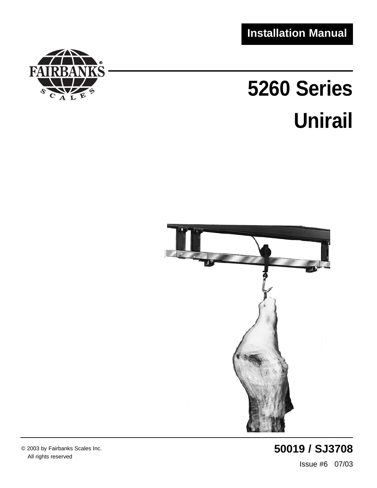**Installation Manual**



# **5260 Series Unirail**



**50019 / SJ3708** Issue #6 07/03

© 2003 by Fairbanks Scales Inc. All rights reserved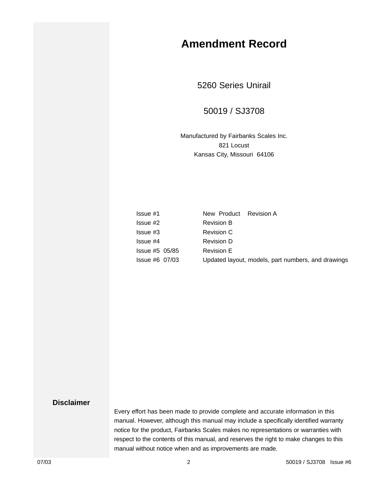## **Amendment Record**

5260 Series Unirail

#### 50019 / SJ3708

Manufactured by Fairbanks Scales Inc. 821 Locust Kansas City, Missouri 64106

| lssue #1       | New Product Revision A |                                                    |
|----------------|------------------------|----------------------------------------------------|
| lssue #2       | <b>Revision B</b>      |                                                    |
| Issue #3       | <b>Revision C</b>      |                                                    |
| Issue #4       | <b>Revision D</b>      |                                                    |
| lssue #5 05/85 | <b>Revision E</b>      |                                                    |
| lssue #6 07/03 |                        | Updated layout, models, part numbers, and drawings |

#### **Disclaimer**

Every effort has been made to provide complete and accurate information in this manual. However, although this manual may include a specifically identified warranty notice for the product, Fairbanks Scales makes no representations or warranties with respect to the contents of this manual, and reserves the right to make changes to this manual without notice when and as improvements are made.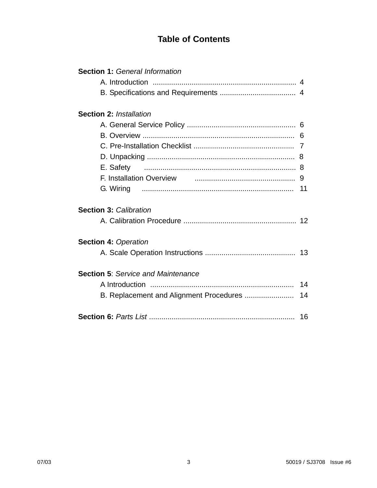#### **Table of Contents**

| <b>Section 1: General Information</b>       |  |
|---------------------------------------------|--|
|                                             |  |
|                                             |  |
| <b>Section 2: Installation</b>              |  |
|                                             |  |
|                                             |  |
|                                             |  |
|                                             |  |
|                                             |  |
| E. Safety                                   |  |
|                                             |  |
|                                             |  |
| <b>Section 3: Calibration</b>               |  |
|                                             |  |
| <b>Section 4: Operation</b>                 |  |
|                                             |  |
| <b>Section 5: Service and Maintenance</b>   |  |
|                                             |  |
| B. Replacement and Alignment Procedures  14 |  |
|                                             |  |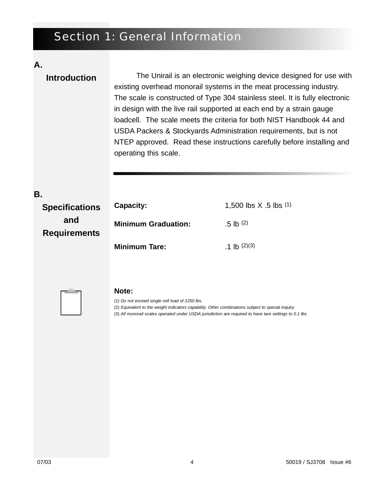# Section 1: General Information

#### **A.**

#### **Introduction**

The Unirail is an electronic weighing device designed for use with existing overhead monorail systems in the meat processing industry. The scale is constructed of Type 304 stainless steel. It is fully electronic in design with the live rail supported at each end by a strain gauge loadcell. The scale meets the criteria for both NIST Handbook 44 and USDA Packers & Stockyards Administration requirements, but is not NTEP approved. Read these instructions carefully before installing and operating this scale.

| <b>Specifications</b>      | <b>Capacity:</b>           | 1,500 lbs $X$ .5 lbs $(1)$ |
|----------------------------|----------------------------|----------------------------|
| and<br><b>Requirements</b> | <b>Minimum Graduation:</b> | $.5$ lb $(2)$              |
|                            | <b>Minimum Tare:</b>       | $.1$ lb $(2)(3)$           |



#### **Note:**

*(1) Do not exceed single cell load of 1250 lbs.*

(2) *Equivalent to the weight indicators capability. Other combinations subject to special inquiry.*

(3) *All monorail scales operated under USDA jurisdiction are required to have tare settings to 0.1 lbs.*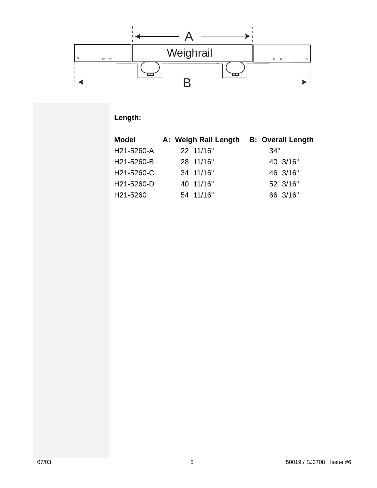

### **Length:**

| <b>Model</b> | A: Weigh Rail Length | <b>B: Overall Length</b> |
|--------------|----------------------|--------------------------|
| H21-5260-A   | 22 11/16"            | 34"                      |
| H21-5260-B   | 28 11/16"            | 40 3/16"                 |
| H21-5260-C   | 34 11/16"            | 46 3/16"                 |
| H21-5260-D   | 40 11/16"            | 52 3/16"                 |
| H21-5260     | 54 11/16"            | 66 3/16"                 |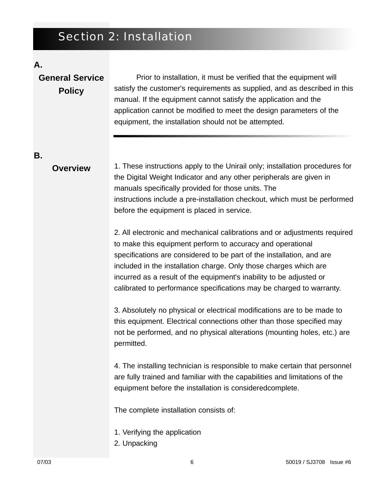# Section 2: Installation

#### **A.**

## **General Service Policy**

Prior to installation, it must be verified that the equipment will satisfy the customer's requirements as supplied, and as described in this manual. If the equipment cannot satisfy the application and the application cannot be modified to meet the design parameters of the equipment, the installation should not be attempted.

**B.**

#### **Overview**

1. These instructions apply to the Unirail only; installation procedures for the Digital Weight Indicator and any other peripherals are given in manuals specifically provided for those units. The instructions include a pre-installation checkout, which must be performed before the equipment is placed in service.

2. All electronic and mechanical calibrations and or adjustments required to make this equipment perform to accuracy and operational specifications are considered to be part of the installation, and are included in the installation charge. Only those charges which are incurred as a result of the equipment's inability to be adjusted or calibrated to performance specifications may be charged to warranty.

3. Absolutely no physical or electrical modifications are to be made to this equipment. Electrical connections other than those specified may not be performed, and no physical alterations (mounting holes, etc.) are permitted.

4. The installing technician is responsible to make certain that personnel are fully trained and familiar with the capabilities and limitations of the equipment before the installation is consideredcomplete.

The complete installation consists of:

- 1. Verifying the application
- 2. Unpacking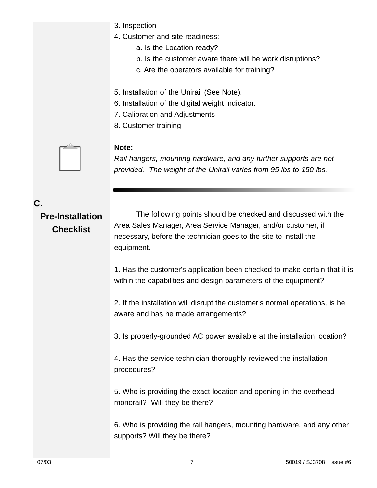- 3. Inspection
- 4. Customer and site readiness:
	- a. Is the Location ready?
	- b. Is the customer aware there will be work disruptions?
	- c. Are the operators available for training?
- 5. Installation of the Unirail (See Note).
- 6. Installation of the digital weight indicator.
- 7. Calibration and Adjustments
- 8. Customer training

#### **Note:**

*Rail hangers, mounting hardware, and any further supports are not provided. The weight of the Unirail varies from 95 lbs to 150 lbs.* 

#### **C.**

# **Pre-Installation**

**Checklist**

The following points should be checked and discussed with the Area Sales Manager, Area Service Manager, and/or customer, if necessary, before the technician goes to the site to install the equipment.

1. Has the customer's application been checked to make certain that it is within the capabilities and design parameters of the equipment?

2. If the installation will disrupt the customer's normal operations, is he aware and has he made arrangements?

3. Is properly-grounded AC power available at the installation location?

4. Has the service technician thoroughly reviewed the installation procedures?

5. Who is providing the exact location and opening in the overhead monorail? Will they be there?

6. Who is providing the rail hangers, mounting hardware, and any other supports? Will they be there?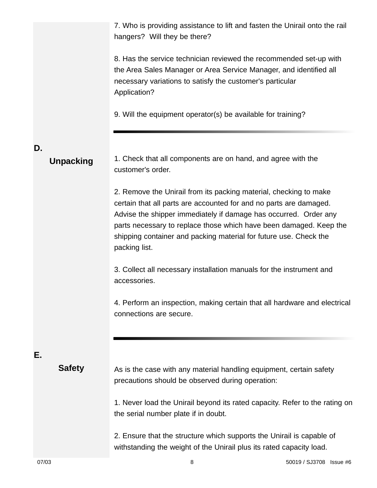|    |                  | 7. Who is providing assistance to lift and fasten the Unirail onto the rail<br>hangers? Will they be there?                                                                                                                                                                                                                                                             |
|----|------------------|-------------------------------------------------------------------------------------------------------------------------------------------------------------------------------------------------------------------------------------------------------------------------------------------------------------------------------------------------------------------------|
|    |                  | 8. Has the service technician reviewed the recommended set-up with<br>the Area Sales Manager or Area Service Manager, and identified all<br>necessary variations to satisfy the customer's particular<br>Application?                                                                                                                                                   |
|    |                  | 9. Will the equipment operator(s) be available for training?                                                                                                                                                                                                                                                                                                            |
| D. | <b>Unpacking</b> | 1. Check that all components are on hand, and agree with the<br>customer's order.                                                                                                                                                                                                                                                                                       |
|    |                  | 2. Remove the Unirail from its packing material, checking to make<br>certain that all parts are accounted for and no parts are damaged.<br>Advise the shipper immediately if damage has occurred. Order any<br>parts necessary to replace those which have been damaged. Keep the<br>shipping container and packing material for future use. Check the<br>packing list. |
|    |                  | 3. Collect all necessary installation manuals for the instrument and<br>accessories.                                                                                                                                                                                                                                                                                    |
|    |                  | 4. Perform an inspection, making certain that all hardware and electrical<br>connections are secure.                                                                                                                                                                                                                                                                    |
| Е. |                  |                                                                                                                                                                                                                                                                                                                                                                         |
|    | <b>Safety</b>    | As is the case with any material handling equipment, certain safety<br>precautions should be observed during operation:                                                                                                                                                                                                                                                 |
|    |                  | 1. Never load the Unirail beyond its rated capacity. Refer to the rating on<br>the serial number plate if in doubt.                                                                                                                                                                                                                                                     |
|    |                  | 2. Ensure that the structure which supports the Unirail is capable of<br>withstanding the weight of the Unirail plus its rated capacity load.                                                                                                                                                                                                                           |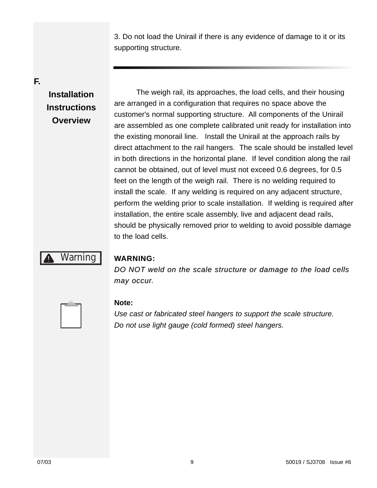3. Do not load the Unirail if there is any evidence of damage to it or its supporting structure.

**F.**

## **Installation Instructions Overview**

The weigh rail, its approaches, the load cells, and their housing are arranged in a configuration that requires no space above the customer's normal supporting structure. All components of the Unirail are assembled as one complete calibrated unit ready for installation into the existing monorail line. Install the Unirail at the approach rails by direct attachment to the rail hangers. The scale should be installed level in both directions in the horizontal plane. If level condition along the rail cannot be obtained, out of level must not exceed 0.6 degrees, for 0.5 feet on the length of the weigh rail. There is no welding required to install the scale. If any welding is required on any adjacent structure, perform the welding prior to scale installation. If welding is required after installation, the entire scale assembly, live and adjacent dead rails, should be physically removed prior to welding to avoid possible damage to the load cells.

# Warning

#### **WARNING: ARNING:**

*DO NOT weld on the scale structure or damage to the load cells DO NOT weld on the scale structure or damage to the load cells may occur may occur.* 



#### **Note:**

*Use cast or fabricated steel hangers to support the scale structure. Do not use light gauge (cold formed) steel hangers.*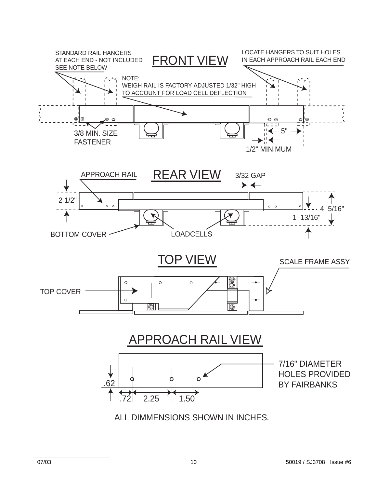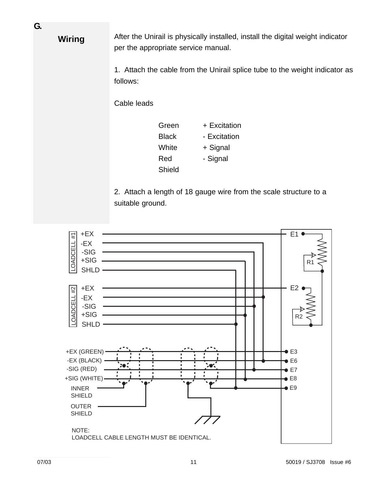After the Unirail is physically installed, install the digital weight indicator per the appropriate service manual.

1. Attach the cable from the Unirail splice tube to the weight indicator as follows:

Cable leads

| Green  | + Excitation |
|--------|--------------|
| Black  | - Excitation |
| White  | + Signal     |
| Red    | - Signal     |
| Shield |              |

2. Attach a length of 18 gauge wire from the scale structure to a suitable ground.



**G.**

**Wiring**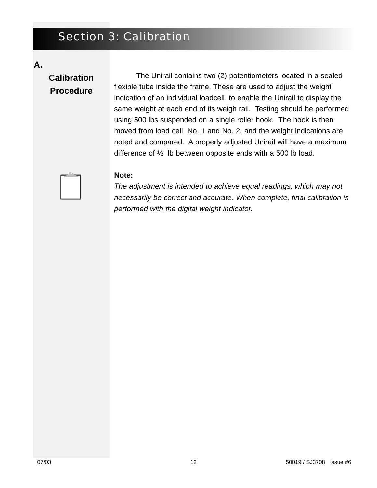# Section 3: Calibration

**A.**

# **Calibration Procedure**

The Unirail contains two (2) potentiometers located in a sealed flexible tube inside the frame. These are used to adjust the weight indication of an individual loadcell, to enable the Unirail to display the same weight at each end of its weigh rail. Testing should be performed using 500 lbs suspended on a single roller hook. The hook is then moved from load cell No. 1 and No. 2, and the weight indications are noted and compared. A properly adjusted Unirail will have a maximum difference of  $\frac{1}{2}$  lb between opposite ends with a 500 lb load.



#### **Note:**

*The adjustment is intended to achieve equal readings, which may not necessarily be correct and accurate. When complete, final calibration is performed with the digital weight indicator.*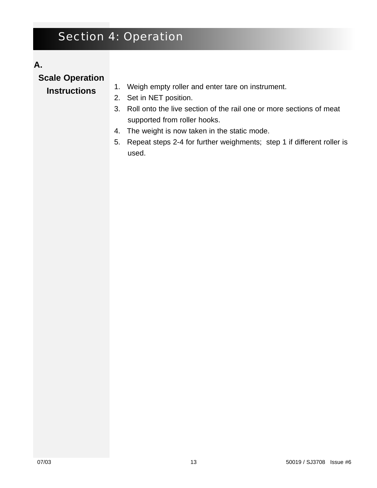# Section 4: Operation

#### **A.**

**Scale Operation**

#### **Instructions**

- 1. Weigh empty roller and enter tare on instrument.
- 2. Set in NET position.
- 3. Roll onto the live section of the rail one or more sections of meat supported from roller hooks.
- 4. The weight is now taken in the static mode.
- 5. Repeat steps 2-4 for further weighments; step 1 if different roller is used.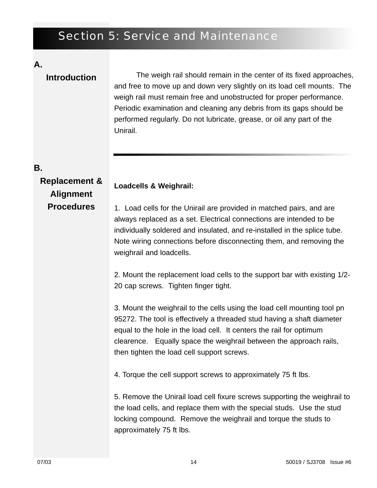# Section 5: Service and Maintenance

**Loadcells & Weighrail:** 

#### **A.**

#### The weigh rail should remain in the center of its fixed approaches, and free to move up and down very slightly on its load cell mounts. The weigh rail must remain free and unobstructed for proper performance. Periodic examination and cleaning any debris from its gaps should be performed regularly. Do not lubricate, grease, or oil any part of the Unirail. **Introduction**

#### **B.**

**Replacement & Alignment Procedures**

1. Load cells for the Unirail are provided in matched pairs, and are always replaced as a set. Electrical connections are intended to be individually soldered and insulated, and re-installed in the splice tube. Note wiring connections before disconnecting them, and removing the weighrail and loadcells.

2. Mount the replacement load cells to the support bar with existing 1/2- 20 cap screws. Tighten finger tight.

3. Mount the weighrail to the cells using the load cell mounting tool pn 95272. The tool is effectively a threaded stud having a shaft diameter equal to the hole in the load cell. It centers the rail for optimum clearence. Equally space the weighrail between the approach rails, then tighten the load cell support screws.

4. Torque the cell support screws to approximately 75 ft lbs.

5. Remove the Unirail load cell fixure screws supporting the weighrail to the load cells, and replace them with the special studs. Use the stud locking compound. Remove the weighrail and torque the studs to approximately 75 ft lbs.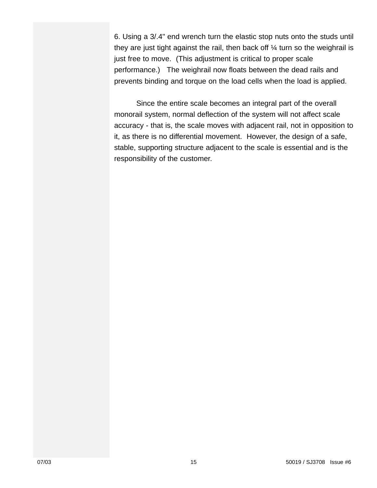6. Using a 3/.4" end wrench turn the elastic stop nuts onto the studs until they are just tight against the rail, then back off  $\frac{1}{4}$  turn so the weighrail is just free to move. (This adjustment is critical to proper scale performance.) The weighrail now floats between the dead rails and prevents binding and torque on the load cells when the load is applied.

Since the entire scale becomes an integral part of the overall monorail system, normal deflection of the system will not affect scale accuracy - that is, the scale moves with adjacent rail, not in opposition to it, as there is no differential movement. However, the design of a safe, stable, supporting structure adjacent to the scale is essential and is the responsibility of the customer.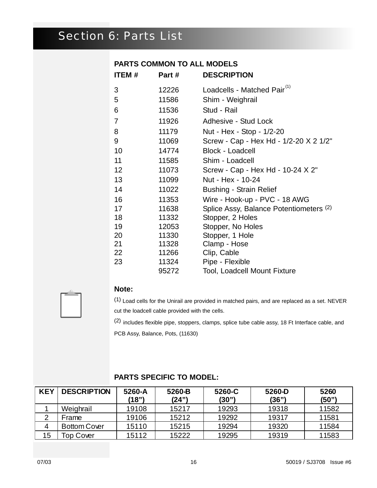# Section 6: Parts List

#### **PARTS COMMON TO ALL MODELS**

| ITEM# | Part# | <b>DESCRIPTION</b>                      |
|-------|-------|-----------------------------------------|
| 3     | 12226 | Loadcells - Matched Pair <sup>(1)</sup> |
| 5     | 11586 | Shim - Weighrail                        |
| 6     | 11536 | Stud - Rail                             |
| 7     | 11926 | Adhesive - Stud Lock                    |
| 8     | 11179 | Nut - Hex - Stop - 1/2-20               |
| 9     | 11069 | Screw - Cap - Hex Hd - 1/2-20 X 2 1/2"  |
| 10    | 14774 | <b>Block - Loadcell</b>                 |
| 11    | 11585 | Shim - Loadcell                         |
| 12    | 11073 | Screw - Cap - Hex Hd - 10-24 X 2"       |
| 13    | 11099 | Nut - Hex - 10-24                       |
| 14    | 11022 | <b>Bushing - Strain Relief</b>          |
| 16    | 11353 | Wire - Hook-up - PVC - 18 AWG           |
| 17    | 11638 | Splice Assy, Balance Potentiometers (2) |
| 18    | 11332 | Stopper, 2 Holes                        |
| 19    | 12053 | Stopper, No Holes                       |
| 20    | 11330 | Stopper, 1 Hole                         |
| 21    | 11328 | Clamp - Hose                            |
| 22    | 11266 | Clip, Cable                             |
| 23    | 11324 | Pipe - Flexible                         |
|       | 95272 | <b>Tool, Loadcell Mount Fixture</b>     |



#### **Note:**

(1) Load cells for the Unirail are provided in matched pairs, and are replaced as a set. NEVER cut the loadcell cable provided with the cells.

(2) includes flexible pipe, stoppers, clamps, splice tube cable assy, 18 Ft Interface cable, and

PCB Assy, Balance, Pots, (11630)

| <b>KEY</b> | <b>DESCRIPTION</b>  | 5260-A<br>(18") | 5260-B<br>(24") | 5260-C<br>(30") | 5260-D<br>(36") | 5260<br>(50") |
|------------|---------------------|-----------------|-----------------|-----------------|-----------------|---------------|
|            | Weighrail           | 19108           | 15217           | 19293           | 19318           | 11582         |
|            | Frame               | 19106           | 15212           | 19292           | 19317           | 11581         |
|            | <b>Bottom Cover</b> | 15110           | 15215           | 19294           | 19320           | 11584         |
| 15         | op Cover            | 15112           | 15222           | 19295           | 19319           | 11583         |

#### **PARTS SPECIFIC TO MODEL:**